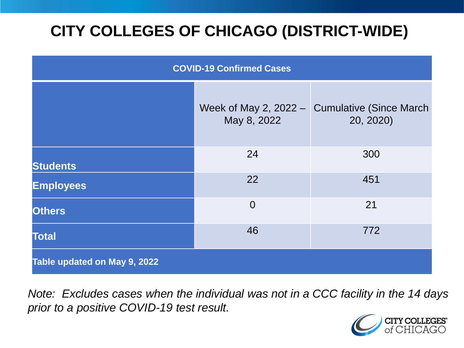# **CITY COLLEGES OF CHICAGO (DISTRICT-WIDE)**

| <b>COVID-19 Confirmed Cases</b> |                                        |                                              |
|---------------------------------|----------------------------------------|----------------------------------------------|
|                                 | Week of May 2, $2022 -$<br>May 8, 2022 | <b>Cumulative (Since March)</b><br>20, 2020) |
| <b>Students</b>                 | 24                                     | 300                                          |
| <b>Employees</b>                | 22                                     | 451                                          |
| <b>Others</b>                   | $\overline{0}$                         | 21                                           |
| <b>Total</b>                    | 46                                     | 772                                          |
| Table updated on May 9, 2022    |                                        |                                              |

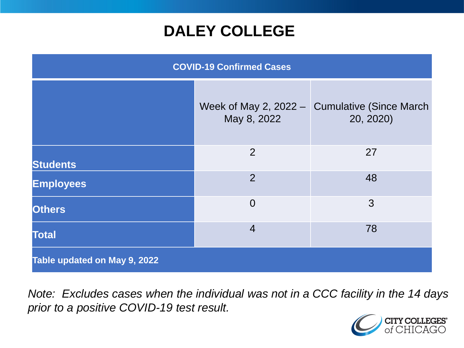### **DALEY COLLEGE**

| <b>COVID-19 Confirmed Cases</b> |                |                                                              |
|---------------------------------|----------------|--------------------------------------------------------------|
|                                 | May 8, 2022    | Week of May 2, 2022 $-$ Cumulative (Since March<br>20, 2020) |
| <b>Students</b>                 | 2              | 27                                                           |
| <b>Employees</b>                | $\overline{2}$ | 48                                                           |
| <b>Others</b>                   | $\overline{0}$ | 3                                                            |
| <b>Total</b>                    | $\overline{4}$ | 78                                                           |
| Table updated on May 9, 2022    |                |                                                              |

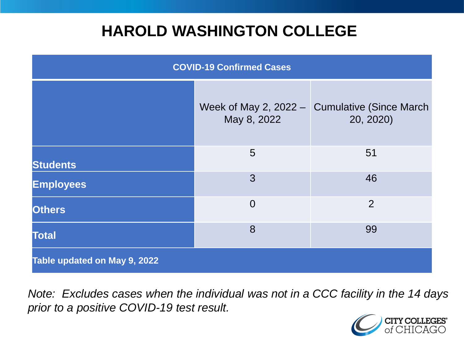### **HAROLD WASHINGTON COLLEGE**

| <b>COVID-19 Confirmed Cases</b> |                                        |                                              |
|---------------------------------|----------------------------------------|----------------------------------------------|
|                                 | Week of May 2, $2022 -$<br>May 8, 2022 | <b>Cumulative (Since March)</b><br>20, 2020) |
| <b>Students</b>                 | 5                                      | 51                                           |
| <b>Employees</b>                | 3                                      | 46                                           |
| <b>Others</b>                   | $\overline{0}$                         | $\overline{2}$                               |
| <b>Total</b>                    | 8                                      | 99                                           |
| Table updated on May 9, 2022    |                                        |                                              |

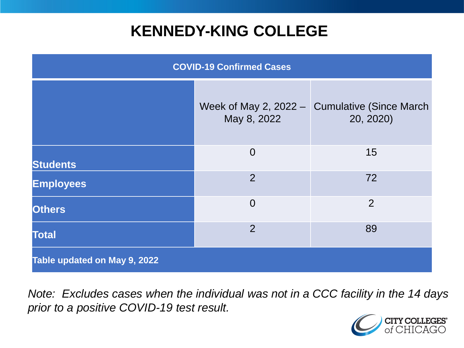### **KENNEDY-KING COLLEGE**

| <b>COVID-19 Confirmed Cases</b> |                                          |                                              |
|---------------------------------|------------------------------------------|----------------------------------------------|
|                                 | Week of May 2, $2022 - 1$<br>May 8, 2022 | <b>Cumulative (Since March)</b><br>20, 2020) |
| <b>Students</b>                 | $\overline{0}$                           | 15                                           |
| <b>Employees</b>                | $\overline{2}$                           | 72                                           |
| <b>Others</b>                   | $\overline{0}$                           | $\overline{2}$                               |
| <b>Total</b>                    | $\overline{2}$                           | 89                                           |
| Table updated on May 9, 2022    |                                          |                                              |

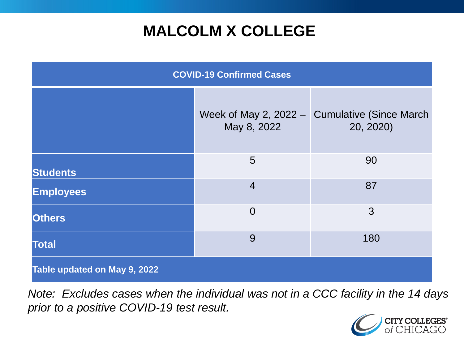# **MALCOLM X COLLEGE**

| <b>COVID-19 Confirmed Cases</b> |                                          |                                              |
|---------------------------------|------------------------------------------|----------------------------------------------|
|                                 | Week of May 2, $2022 - 1$<br>May 8, 2022 | <b>Cumulative (Since March)</b><br>20, 2020) |
| <b>Students</b>                 | 5                                        | 90                                           |
| <b>Employees</b>                | $\overline{4}$                           | 87                                           |
| <b>Others</b>                   | $\overline{0}$                           | 3                                            |
| <b>Total</b>                    | 9                                        | 180                                          |
| Table updated on May 9, 2022    |                                          |                                              |

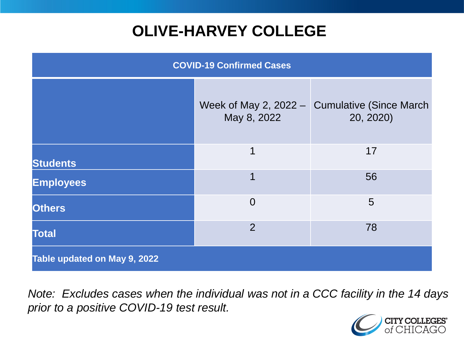# **OLIVE-HARVEY COLLEGE**

| <b>COVID-19 Confirmed Cases</b> |                                        |                                              |
|---------------------------------|----------------------------------------|----------------------------------------------|
|                                 | Week of May 2, $2022 -$<br>May 8, 2022 | <b>Cumulative (Since March)</b><br>20, 2020) |
| <b>Students</b>                 | 1                                      | 17                                           |
| <b>Employees</b>                | 1                                      | 56                                           |
| <b>Others</b>                   | $\overline{0}$                         | 5                                            |
| <b>Total</b>                    | $\overline{2}$                         | 78                                           |
| Table updated on May 9, 2022    |                                        |                                              |

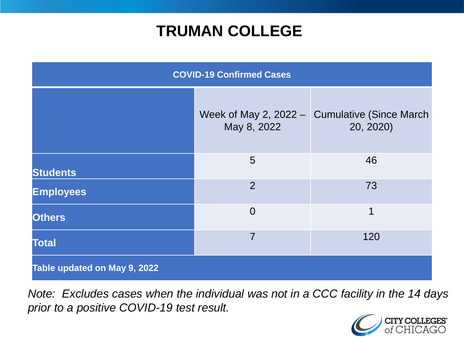### **TRUMAN COLLEGE**

| <b>COVID-19 Confirmed Cases</b> |                                          |                                              |
|---------------------------------|------------------------------------------|----------------------------------------------|
|                                 | Week of May 2, $2022 - 1$<br>May 8, 2022 | <b>Cumulative (Since March)</b><br>20, 2020) |
| <b>Students</b>                 | 5                                        | 46                                           |
| <b>Employees</b>                | $\overline{2}$                           | 73                                           |
| <b>Others</b>                   | $\overline{0}$                           | $\overline{\mathbf{1}}$                      |
| <b>Total</b>                    | $\overline{7}$                           | 120                                          |
| Table updated on May 9, 2022    |                                          |                                              |

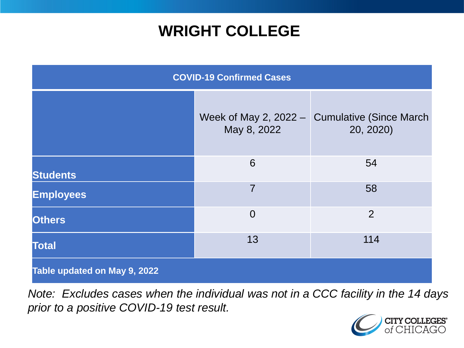### **WRIGHT COLLEGE**

| <b>COVID-19 Confirmed Cases</b> |                                        |                                              |
|---------------------------------|----------------------------------------|----------------------------------------------|
|                                 | Week of May 2, $2022 -$<br>May 8, 2022 | <b>Cumulative (Since March)</b><br>20, 2020) |
| <b>Students</b>                 | 6                                      | 54                                           |
| <b>Employees</b>                | $\overline{7}$                         | 58                                           |
| <b>Others</b>                   | $\overline{0}$                         | $\overline{2}$                               |
| <b>Total</b>                    | 13                                     | 114                                          |
| Table updated on May 9, 2022    |                                        |                                              |

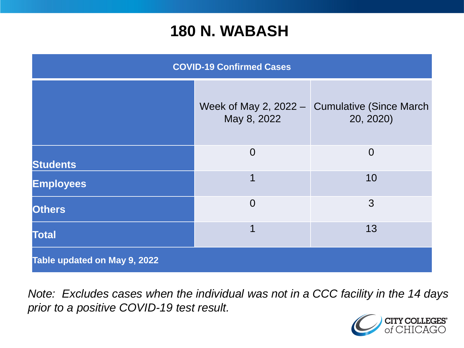#### **180 N. WABASH**

| <b>COVID-19 Confirmed Cases</b> |                                          |                                              |
|---------------------------------|------------------------------------------|----------------------------------------------|
|                                 | Week of May 2, $2022 - 1$<br>May 8, 2022 | <b>Cumulative (Since March)</b><br>20, 2020) |
| <b>Students</b>                 | $\overline{0}$                           | $\overline{0}$                               |
| <b>Employees</b>                | 1                                        | 10                                           |
| <b>Others</b>                   | $\overline{0}$                           | 3                                            |
| <b>Total</b>                    | 1                                        | 13                                           |
| Table updated on May 9, 2022    |                                          |                                              |